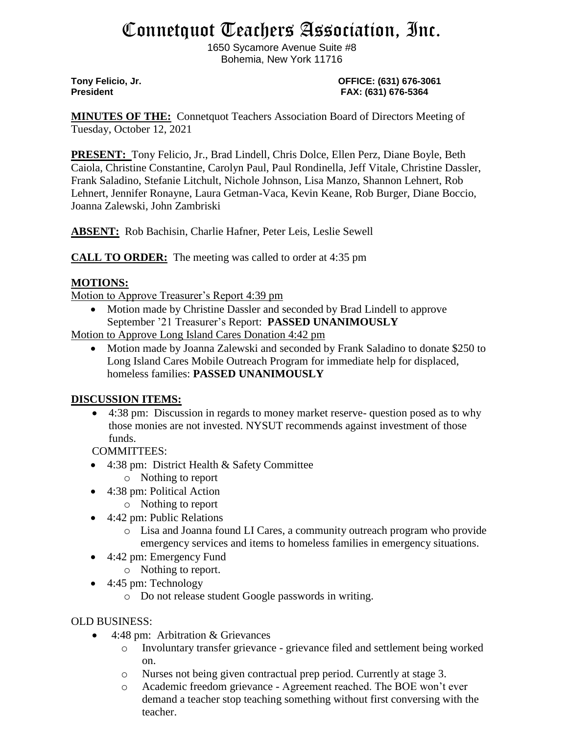# Connetquot Teachers Association, Inc.

1650 Sycamore Avenue Suite #8 Bohemia, New York 11716

**Tony Felicio, Jr. OFFICE: (631) 676-3061 President FAX: (631) 676-5364**

**MINUTES OF THE:** Connetquot Teachers Association Board of Directors Meeting of Tuesday, October 12, 2021

**PRESENT:** Tony Felicio, Jr., Brad Lindell, Chris Dolce, Ellen Perz, Diane Boyle, Beth Caiola, Christine Constantine, Carolyn Paul, Paul Rondinella, Jeff Vitale, Christine Dassler, Frank Saladino, Stefanie Litchult, Nichole Johnson, Lisa Manzo, Shannon Lehnert, Rob Lehnert, Jennifer Ronayne, Laura Getman-Vaca, Kevin Keane, Rob Burger, Diane Boccio, Joanna Zalewski, John Zambriski

**ABSENT:** Rob Bachisin, Charlie Hafner, Peter Leis, Leslie Sewell

**CALL TO ORDER:** The meeting was called to order at 4:35 pm

## **MOTIONS:**

Motion to Approve Treasurer's Report 4:39 pm

• Motion made by Christine Dassler and seconded by Brad Lindell to approve September '21 Treasurer's Report: **PASSED UNANIMOUSLY**

Motion to Approve Long Island Cares Donation 4:42 pm

• Motion made by Joanna Zalewski and seconded by Frank Saladino to donate \$250 to Long Island Cares Mobile Outreach Program for immediate help for displaced, homeless families: **PASSED UNANIMOUSLY**

### **DISCUSSION ITEMS:**

• 4:38 pm: Discussion in regards to money market reserve- question posed as to why those monies are not invested. NYSUT recommends against investment of those funds.

COMMITTEES:

- 4:38 pm: District Health & Safety Committee
	- o Nothing to report
- 4:38 pm: Political Action
	- o Nothing to report
- 4:42 pm: Public Relations
	- o Lisa and Joanna found LI Cares, a community outreach program who provide emergency services and items to homeless families in emergency situations.
- 4:42 pm: Emergency Fund
	- o Nothing to report.
- 4:45 pm: Technology
	- o Do not release student Google passwords in writing.

### OLD BUSINESS:

- 4:48 pm: Arbitration & Grievances
	- o Involuntary transfer grievance grievance filed and settlement being worked on.
	- o Nurses not being given contractual prep period. Currently at stage 3.
	- o Academic freedom grievance Agreement reached. The BOE won't ever demand a teacher stop teaching something without first conversing with the teacher.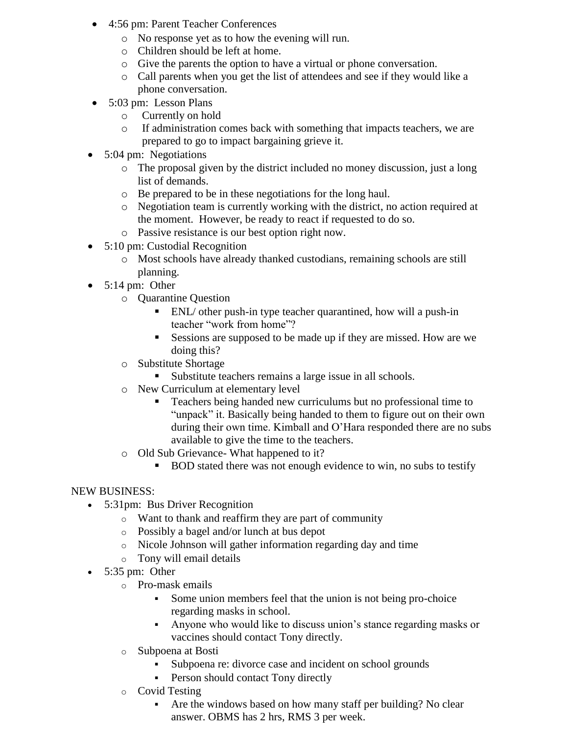- 4:56 pm: Parent Teacher Conferences
	- o No response yet as to how the evening will run.
	- o Children should be left at home.
	- o Give the parents the option to have a virtual or phone conversation.
	- o Call parents when you get the list of attendees and see if they would like a phone conversation.
- 5:03 pm: Lesson Plans
	- o Currently on hold
	- o If administration comes back with something that impacts teachers, we are prepared to go to impact bargaining grieve it.
- 5:04 pm: Negotiations
	- o The proposal given by the district included no money discussion, just a long list of demands.
	- o Be prepared to be in these negotiations for the long haul.
	- o Negotiation team is currently working with the district, no action required at the moment. However, be ready to react if requested to do so.
	- o Passive resistance is our best option right now.
- 5:10 pm: Custodial Recognition
	- o Most schools have already thanked custodians, remaining schools are still planning.
- 5:14 pm: Other
	- o Quarantine Question
		- ENL/ other push-in type teacher quarantined, how will a push-in teacher "work from home"?
		- Sessions are supposed to be made up if they are missed. How are we doing this?
	- o Substitute Shortage
		- Substitute teachers remains a large issue in all schools.
	- o New Curriculum at elementary level
		- Teachers being handed new curriculums but no professional time to "unpack" it. Basically being handed to them to figure out on their own during their own time. Kimball and O'Hara responded there are no subs available to give the time to the teachers.
	- o Old Sub Grievance- What happened to it?
		- BOD stated there was not enough evidence to win, no subs to testify

### NEW BUSINESS:

- 5:31pm: Bus Driver Recognition
	- o Want to thank and reaffirm they are part of community
	- o Possibly a bagel and/or lunch at bus depot
	- o Nicole Johnson will gather information regarding day and time
	- o Tony will email details
- $\bullet$  5:35 pm: Other
	- o Pro-mask emails
		- Some union members feel that the union is not being pro-choice regarding masks in school.
		- Anyone who would like to discuss union's stance regarding masks or vaccines should contact Tony directly.
	- o Subpoena at Bosti
		- Subpoena re: divorce case and incident on school grounds
		- Person should contact Tony directly
	- o Covid Testing
		- Are the windows based on how many staff per building? No clear answer. OBMS has 2 hrs, RMS 3 per week.